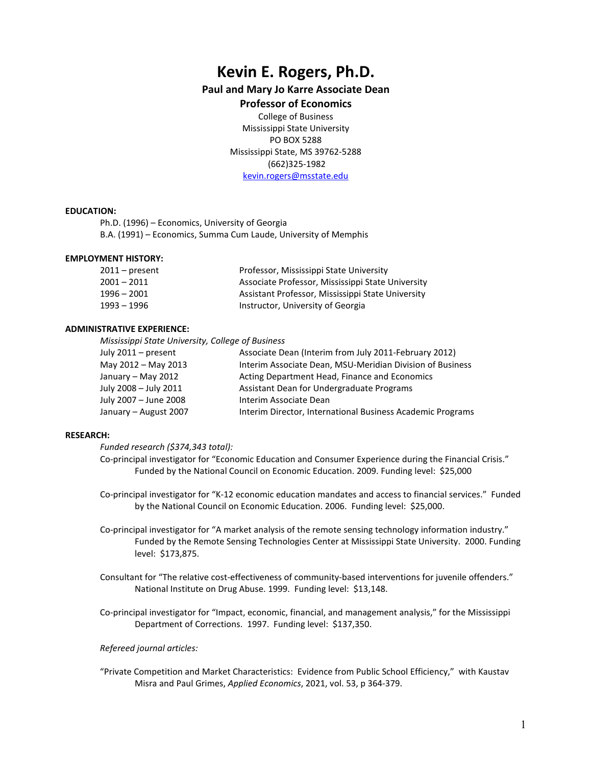# **Kevin E. Rogers, Ph.D.**

# **Paul and Mary Jo Karre Associate Dean**

# **Professor of Economics**

College of Business Mississippi State University PO BOX 5288 Mississippi State, MS 39762-5288 (662)325-1982 [kevin.rogers@msstate.edu](mailto:kevin.rogers@msstate.edu)

# **EDUCATION:**

Ph.D. (1996) – Economics, University of Georgia B.A. (1991) – Economics, Summa Cum Laude, University of Memphis

#### **EMPLOYMENT HISTORY:**

| $2011$ – present | Professor, Mississippi State University           |
|------------------|---------------------------------------------------|
| $2001 - 2011$    | Associate Professor, Mississippi State University |
| $1996 - 2001$    | Assistant Professor, Mississippi State University |
| 1993 – 1996      | Instructor, University of Georgia                 |

#### **ADMINISTRATIVE EXPERIENCE:**

*Mississippi State University, College of Business* 

| July 2011 – present   | Associate Dean (Interim from July 2011-February 2012)      |
|-----------------------|------------------------------------------------------------|
| May 2012 - May 2013   | Interim Associate Dean, MSU-Meridian Division of Business  |
| January - May 2012    | Acting Department Head, Finance and Economics              |
| July 2008 - July 2011 | Assistant Dean for Undergraduate Programs                  |
| July 2007 - June 2008 | Interim Associate Dean                                     |
| January - August 2007 | Interim Director, International Business Academic Programs |

# **RESEARCH:**

*Funded research (\$374,343 total):*

Co-principal investigator for "Economic Education and Consumer Experience during the Financial Crisis." Funded by the National Council on Economic Education. 2009. Funding level: \$25,000

- Co-principal investigator for "K-12 economic education mandates and access to financial services." Funded by the National Council on Economic Education. 2006. Funding level: \$25,000.
- Co-principal investigator for "A market analysis of the remote sensing technology information industry." Funded by the Remote Sensing Technologies Center at Mississippi State University. 2000. Funding level: \$173,875.
- Consultant for "The relative cost-effectiveness of community-based interventions for juvenile offenders." National Institute on Drug Abuse. 1999. Funding level: \$13,148.
- Co-principal investigator for "Impact, economic, financial, and management analysis," for the Mississippi Department of Corrections. 1997. Funding level: \$137,350.

# *Refereed journal articles:*

"Private Competition and Market Characteristics: Evidence from Public School Efficiency," with Kaustav Misra and Paul Grimes, *Applied Economics*, 2021, vol. 53, p 364-379.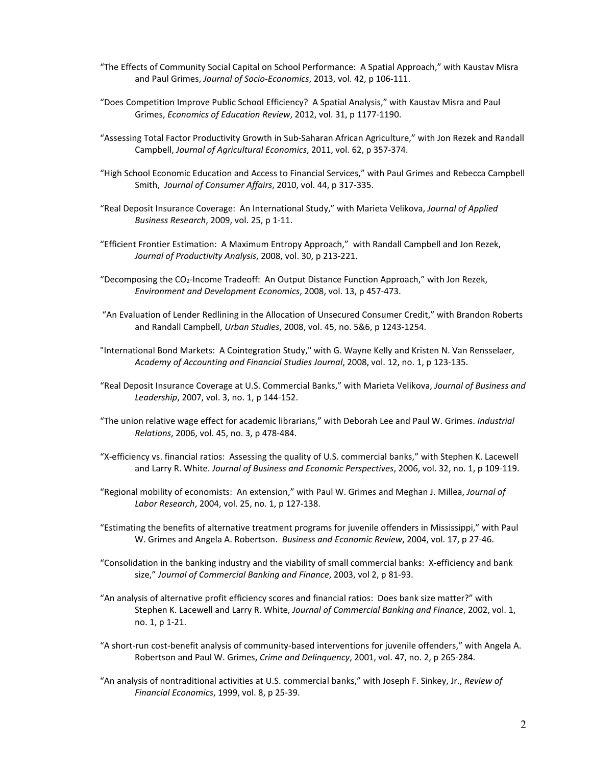- "The Effects of Community Social Capital on School Performance: A Spatial Approach," with Kaustav Misra and Paul Grimes, *Journal of Socio-Economics*, 2013, vol. 42, p 106-111.
- "Does Competition Improve Public School Efficiency? A Spatial Analysis," with Kaustav Misra and Paul Grimes, *Economics of Education Review*, 2012, vol. 31, p 1177-1190.
- "Assessing Total Factor Productivity Growth in Sub-Saharan African Agriculture," with Jon Rezek and Randall Campbell, *Journal of Agricultural Economics*, 2011, vol. 62, p 357-374.
- "High School Economic Education and Access to Financial Services," with Paul Grimes and Rebecca Campbell Smith, *Journal of Consumer Affairs*, 2010, vol. 44, p 317-335.
- "Real Deposit Insurance Coverage: An International Study," with Marieta Velikova, *Journal of Applied Business Research*, 2009, vol. 25, p 1-11.
- "Efficient Frontier Estimation: A Maximum Entropy Approach," with Randall Campbell and Jon Rezek, *Journal of Productivity Analysis*, 2008, vol. 30, p 213-221.
- "Decomposing the CO2-Income Tradeoff: An Output Distance Function Approach," with Jon Rezek, *Environment and Development Economics*, 2008, vol. 13, p 457-473.
- "An Evaluation of Lender Redlining in the Allocation of Unsecured Consumer Credit," with Brandon Roberts and Randall Campbell, *Urban Studies*, 2008, vol. 45, no. 5&6, p 1243-1254.
- "International Bond Markets: A Cointegration Study," with G. Wayne Kelly and Kristen N. Van Rensselaer, *Academy of Accounting and Financial Studies Journal*, 2008, vol. 12, no. 1, p 123-135.
- "Real Deposit Insurance Coverage at U.S. Commercial Banks," with Marieta Velikova, *Journal of Business and Leadership*, 2007, vol. 3, no. 1, p 144-152.
- "The union relative wage effect for academic librarians," with Deborah Lee and Paul W. Grimes. *Industrial Relations*, 2006, vol. 45, no. 3, p 478-484.
- "X-efficiency vs. financial ratios: Assessing the quality of U.S. commercial banks," with Stephen K. Lacewell and Larry R. White. *Journal of Business and Economic Perspectives*, 2006, vol. 32, no. 1, p 109-119.
- "Regional mobility of economists: An extension," with Paul W. Grimes and Meghan J. Millea, *Journal of Labor Research*, 2004, vol. 25, no. 1, p 127-138.
- "Estimating the benefits of alternative treatment programs for juvenile offenders in Mississippi," with Paul W. Grimes and Angela A. Robertson. *Business and Economic Review*, 2004, vol. 17, p 27-46.
- "Consolidation in the banking industry and the viability of small commercial banks: X-efficiency and bank size," *Journal of Commercial Banking and Finance*, 2003, vol 2, p 81-93.
- "An analysis of alternative profit efficiency scores and financial ratios: Does bank size matter?" with Stephen K. Lacewell and Larry R. White, *Journal of Commercial Banking and Finance*, 2002, vol. 1, no. 1, p 1-21.
- "A short-run cost-benefit analysis of community-based interventions for juvenile offenders," with Angela A. Robertson and Paul W. Grimes, *Crime and Delinquency*, 2001, vol. 47, no. 2, p 265-284.
- "An analysis of nontraditional activities at U.S. commercial banks," with Joseph F. Sinkey, Jr., *Review of Financial Economics*, 1999, vol. 8, p 25-39.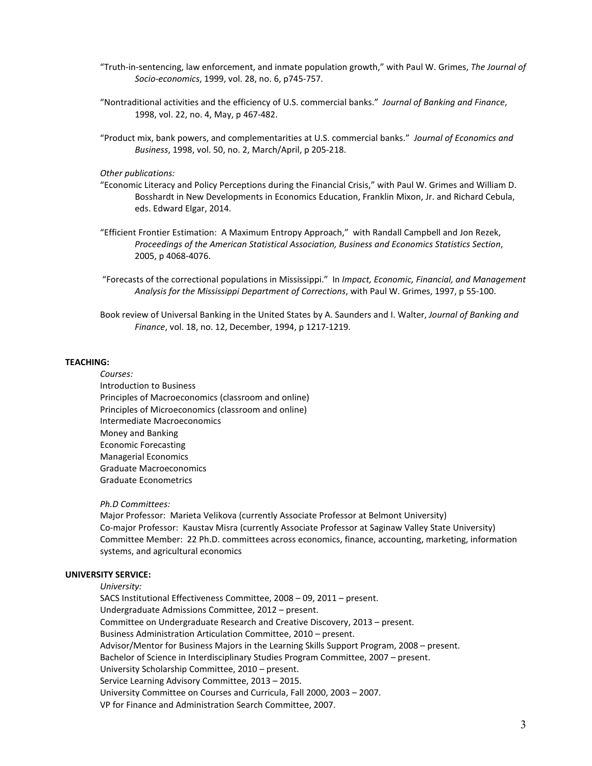- "Truth-in-sentencing, law enforcement, and inmate population growth," with Paul W. Grimes, *The Journal of Socio-economics*, 1999, vol. 28, no. 6, p745-757.
- "Nontraditional activities and the efficiency of U.S. commercial banks." *Journal of Banking and Finance*, 1998, vol. 22, no. 4, May, p 467-482.
- "Product mix, bank powers, and complementarities at U.S. commercial banks." *Journal of Economics and Business*, 1998, vol. 50, no. 2, March/April, p 205-218.

*Other publications:*

- "Economic Literacy and Policy Perceptions during the Financial Crisis," with Paul W. Grimes and William D. Bosshardt in New Developments in Economics Education, Franklin Mixon, Jr. and Richard Cebula, eds. Edward Elgar, 2014.
- "Efficient Frontier Estimation: A Maximum Entropy Approach," with Randall Campbell and Jon Rezek, *Proceedings of the American Statistical Association, Business and Economics Statistics Section*, 2005, p 4068-4076.
- "Forecasts of the correctional populations in Mississippi." In *Impact, Economic, Financial, and Management Analysis for the Mississippi Department of Corrections*, with Paul W. Grimes, 1997, p 55-100.

Book review of Universal Banking in the United States by A. Saunders and I. Walter, *Journal of Banking and Finance*, vol. 18, no. 12, December, 1994, p 1217-1219.

#### **TEACHING:**

*Courses:* Introduction to Business Principles of Macroeconomics (classroom and online) Principles of Microeconomics (classroom and online) Intermediate Macroeconomics Money and Banking Economic Forecasting Managerial Economics Graduate Macroeconomics Graduate Econometrics

# *Ph.D Committees:*

Major Professor: Marieta Velikova (currently Associate Professor at Belmont University) Co-major Professor: Kaustav Misra (currently Associate Professor at Saginaw Valley State University) Committee Member: 22 Ph.D. committees across economics, finance, accounting, marketing, information systems, and agricultural economics

# **UNIVERSITY SERVICE:**

#### *University:*

SACS Institutional Effectiveness Committee, 2008 – 09, 2011 – present. Undergraduate Admissions Committee, 2012 – present. Committee on Undergraduate Research and Creative Discovery, 2013 – present. Business Administration Articulation Committee, 2010 – present. Advisor/Mentor for Business Majors in the Learning Skills Support Program, 2008 – present. Bachelor of Science in Interdisciplinary Studies Program Committee, 2007 – present. University Scholarship Committee, 2010 – present. Service Learning Advisory Committee, 2013 – 2015. University Committee on Courses and Curricula, Fall 2000, 2003 – 2007. VP for Finance and Administration Search Committee, 2007.